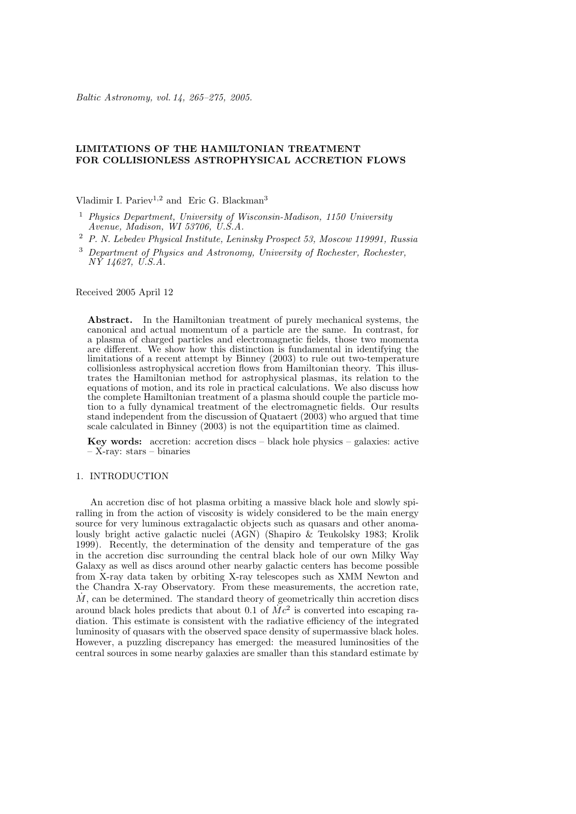# **LIMITATIONS OF THE HAMILTONIAN TREATMENT FOR COLLISIONLESS ASTROPHYSICAL ACCRETION FLOWS**

Vladimir I. Pariev<sup>1,2</sup> and Eric G. Blackman<sup>3</sup>

- <sup>1</sup> *Physics Department, University of Wisconsin-Madison, 1150 University Avenue, Madison, WI 53706, U.S.A.*
- <sup>2</sup> *P. N. Lebedev Physical Institute, Leninsky Prospect 53, Moscow 119991, Russia*
- <sup>3</sup> *Department of Physics and Astronomy, University of Rochester, Rochester, NY 14627, U.S.A.*

Received 2005 April 12

**Abstract.** In the Hamiltonian treatment of purely mechanical systems, the canonical and actual momentum of a particle are the same. In contrast, for a plasma of charged particles and electromagnetic fields, those two momenta are different. We show how this distinction is fundamental in identifying the limitations of a recent attempt by Binney (2003) to rule out two-temperature collisionless astrophysical accretion flows from Hamiltonian theory. This illustrates the Hamiltonian method for astrophysical plasmas, its relation to the equations of motion, and its role in practical calculations. We also discuss how the complete Hamiltonian treatment of a plasma should couple the particle motion to a fully dynamical treatment of the electromagnetic fields. Our results stand independent from the discussion of Quataert (2003) who argued that time scale calculated in Binney (2003) is not the equipartition time as claimed.

**Key words:** accretion: accretion discs – black hole physics – galaxies: active – X-ray: stars – binaries

## 1. INTRODUCTION

An accretion disc of hot plasma orbiting a massive black hole and slowly spiralling in from the action of viscosity is widely considered to be the main energy source for very luminous extragalactic objects such as quasars and other anomalously bright active galactic nuclei (AGN) (Shapiro & Teukolsky 1983; Krolik 1999). Recently, the determination of the density and temperature of the gas in the accretion disc surrounding the central black hole of our own Milky Way Galaxy as well as discs around other nearby galactic centers has become possible from X-ray data taken by orbiting X-ray telescopes such as XMM Newton and the Chandra X-ray Observatory. From these measurements, the accretion rate,  $\dot{M}$ , can be determined. The standard theory of geometrically thin accretion discs around black holes predicts that about 0.1 of  $\dot{M}c^2$  is converted into escaping radiation. This estimate is consistent with the radiative efficiency of the integrated luminosity of quasars with the observed space density of supermassive black holes. However, a puzzling discrepancy has emerged: the measured luminosities of the central sources in some nearby galaxies are smaller than this standard estimate by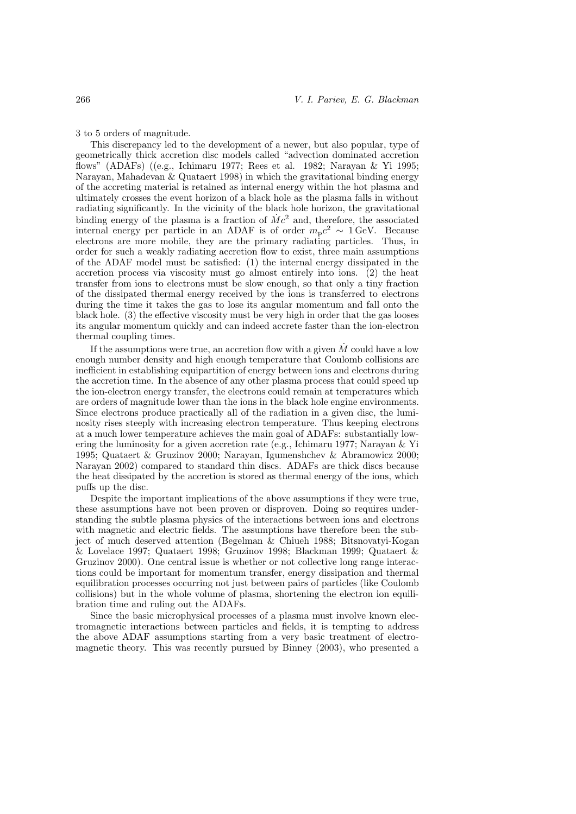3 to 5 orders of magnitude.

This discrepancy led to the development of a newer, but also popular, type of geometrically thick accretion disc models called "advection dominated accretion flows" (ADAFs) ((e.g., Ichimaru 1977; Rees et al. 1982; Narayan & Yi 1995; Narayan, Mahadevan & Quataert 1998) in which the gravitational binding energy of the accreting material is retained as internal energy within the hot plasma and ultimately crosses the event horizon of a black hole as the plasma falls in without radiating significantly. In the vicinity of the black hole horizon, the gravitational binding energy of the plasma is a fraction of  $\dot{M}c^2$  and, therefore, the associated internal energy per particle in an ADAF is of order  $m_p c^2 \sim 1$  GeV. Because electrons are more mobile, they are the primary radiating particles. Thus, in order for such a weakly radiating accretion flow to exist, three main assumptions of the ADAF model must be satisfied: (1) the internal energy dissipated in the accretion process via viscosity must go almost entirely into ions. (2) the heat transfer from ions to electrons must be slow enough, so that only a tiny fraction of the dissipated thermal energy received by the ions is transferred to electrons during the time it takes the gas to lose its angular momentum and fall onto the black hole. (3) the effective viscosity must be very high in order that the gas looses its angular momentum quickly and can indeed accrete faster than the ion-electron thermal coupling times.

If the assumptions were true, an accretion flow with a given  $M$  could have a low enough number density and high enough temperature that Coulomb collisions are inefficient in establishing equipartition of energy between ions and electrons during the accretion time. In the absence of any other plasma process that could speed up the ion-electron energy transfer, the electrons could remain at temperatures which are orders of magnitude lower than the ions in the black hole engine environments. Since electrons produce practically all of the radiation in a given disc, the luminosity rises steeply with increasing electron temperature. Thus keeping electrons at a much lower temperature achieves the main goal of ADAFs: substantially lowering the luminosity for a given accretion rate (e.g., Ichimaru 1977; Narayan & Yi 1995; Quataert & Gruzinov 2000; Narayan, Igumenshchev & Abramowicz 2000; Narayan 2002) compared to standard thin discs. ADAFs are thick discs because the heat dissipated by the accretion is stored as thermal energy of the ions, which puffs up the disc.

Despite the important implications of the above assumptions if they were true, these assumptions have not been proven or disproven. Doing so requires understanding the subtle plasma physics of the interactions between ions and electrons with magnetic and electric fields. The assumptions have therefore been the subject of much deserved attention (Begelman & Chiueh 1988; Bitsnovatyi-Kogan & Lovelace 1997; Quataert 1998; Gruzinov 1998; Blackman 1999; Quataert & Gruzinov 2000). One central issue is whether or not collective long range interactions could be important for momentum transfer, energy dissipation and thermal equilibration processes occurring not just between pairs of particles (like Coulomb collisions) but in the whole volume of plasma, shortening the electron ion equilibration time and ruling out the ADAFs.

Since the basic microphysical processes of a plasma must involve known electromagnetic interactions between particles and fields, it is tempting to address the above ADAF assumptions starting from a very basic treatment of electromagnetic theory. This was recently pursued by Binney (2003), who presented a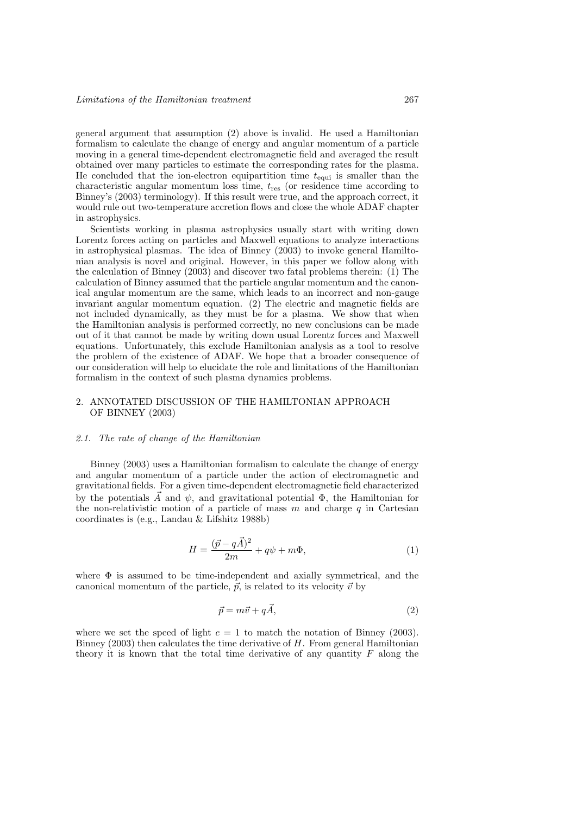general argument that assumption (2) above is invalid. He used a Hamiltonian formalism to calculate the change of energy and angular momentum of a particle moving in a general time-dependent electromagnetic field and averaged the result obtained over many particles to estimate the corresponding rates for the plasma. He concluded that the ion-electron equipartition time  $t_{\text{equi}}$  is smaller than the characteristic angular momentum loss time,  $t_{res}$  (or residence time according to Binney's (2003) terminology). If this result were true, and the approach correct, it would rule out two-temperature accretion flows and close the whole ADAF chapter in astrophysics.

Scientists working in plasma astrophysics usually start with writing down Lorentz forces acting on particles and Maxwell equations to analyze interactions in astrophysical plasmas. The idea of Binney (2003) to invoke general Hamiltonian analysis is novel and original. However, in this paper we follow along with the calculation of Binney (2003) and discover two fatal problems therein: (1) The calculation of Binney assumed that the particle angular momentum and the canonical angular momentum are the same, which leads to an incorrect and non-gauge invariant angular momentum equation. (2) The electric and magnetic fields are not included dynamically, as they must be for a plasma. We show that when the Hamiltonian analysis is performed correctly, no new conclusions can be made out of it that cannot be made by writing down usual Lorentz forces and Maxwell equations. Unfortunately, this exclude Hamiltonian analysis as a tool to resolve the problem of the existence of ADAF. We hope that a broader consequence of our consideration will help to elucidate the role and limitations of the Hamiltonian formalism in the context of such plasma dynamics problems.

# 2. ANNOTATED DISCUSSION OF THE HAMILTONIAN APPROACH OF BINNEY (2003)

### *2.1. The rate of change of the Hamiltonian*

Binney (2003) uses a Hamiltonian formalism to calculate the change of energy and angular momentum of a particle under the action of electromagnetic and gravitational fields. For a given time-dependent electromagnetic field characterized by the potentials  $\vec{A}$  and  $\psi$ , and gravitational potential  $\Phi$ , the Hamiltonian for the non-relativistic motion of a particle of mass  $m$  and charge  $q$  in Cartesian coordinates is (e.g., Landau & Lifshitz 1988b)

$$
H = \frac{(\vec{p} - q\vec{A})^2}{2m} + q\psi + m\Phi,
$$
\n(1)

where  $\Phi$  is assumed to be time-independent and axially symmetrical, and the canonical momentum of the particle,  $\vec{p}$ , is related to its velocity  $\vec{v}$  by

$$
\vec{p} = m\vec{v} + q\vec{A},\tag{2}
$$

where we set the speed of light  $c = 1$  to match the notation of Binney (2003). Binney (2003) then calculates the time derivative of H. From general Hamiltonian theory it is known that the total time derivative of any quantity  $F$  along the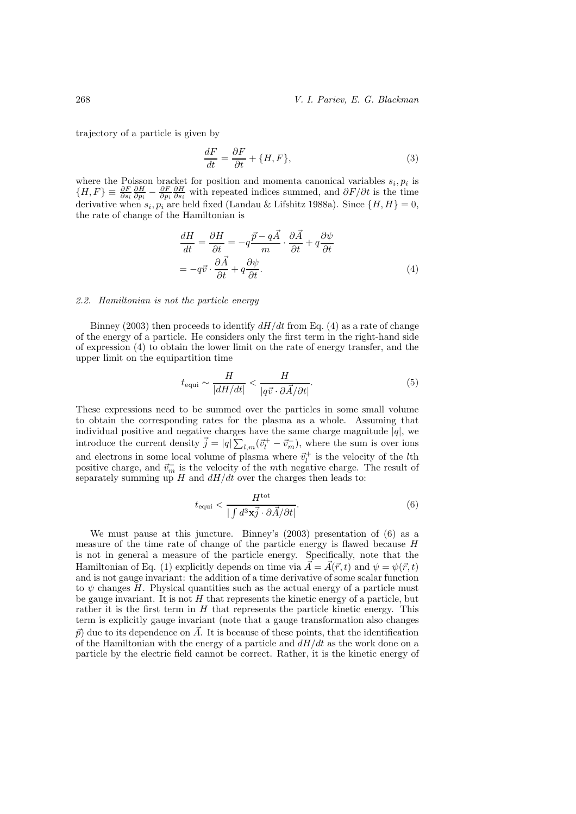trajectory of a particle is given by

$$
\frac{dF}{dt} = \frac{\partial F}{\partial t} + \{H, F\},\tag{3}
$$

where the Poisson bracket for position and momenta canonical variables  $s_i, p_i$  is  ${H, F} \equiv \frac{\partial F}{\partial s_i} \frac{\partial H}{\partial p_i} - \frac{\partial F}{\partial p_i} \frac{\partial H}{\partial s_i}$  with repeated indices summed, and  $\partial F/\partial t$  is the time derivative when  $s_i, p_i$  are held fixed (Landau & Lifshitz 1988a). Since  $\{H, H\} = 0$ , the rate of change of the Hamiltonian is

$$
\frac{dH}{dt} = \frac{\partial H}{\partial t} = -q\frac{\vec{p} - q\vec{A}}{m} \cdot \frac{\partial \vec{A}}{\partial t} + q\frac{\partial \psi}{\partial t}
$$
\n
$$
= -q\vec{v} \cdot \frac{\partial \vec{A}}{\partial t} + q\frac{\partial \psi}{\partial t}.
$$
\n(4)

### *2.2. Hamiltonian is not the particle energy*

Binney (2003) then proceeds to identify  $dH/dt$  from Eq. (4) as a rate of change of the energy of a particle. He considers only the first term in the right-hand side of expression (4) to obtain the lower limit on the rate of energy transfer, and the upper limit on the equipartition time

$$
t_{\text{equi}} \sim \frac{H}{|dH/dt|} < \frac{H}{|q\vec{v} \cdot \partial \vec{A}/\partial t|}.\tag{5}
$$

These expressions need to be summed over the particles in some small volume to obtain the corresponding rates for the plasma as a whole. Assuming that individual positive and negative charges have the same charge magnitude  $|q|$ , we introduce the current density  $\vec{j} = |q| \sum_{l,m} (\vec{v}_l^+ - \vec{v}_m^-)$ , where the sum is over ions and electrons in some local volume of plasma where  $\vec{v}_l^+$  is the velocity of the *l*th positive charge, and  $\vec{v}_m$  is the velocity of the *mth* negative charge. The result of separately summing up  $H$  and  $dH/dt$  over the charges then leads to:

$$
t_{\text{equi}} < \frac{H^{\text{tot}}}{\left| \int d^3 \mathbf{x} \vec{j} \cdot \partial \vec{A} / \partial t \right|}.
$$
 (6)

We must pause at this juncture. Binney's (2003) presentation of (6) as a measure of the time rate of change of the particle energy is flawed because H is not in general a measure of the particle energy. Specifically, note that the Hamiltonian of Eq. (1) explicitly depends on time via  $\vec{A} = \vec{A}(\vec{r}, t)$  and  $\psi = \psi(\vec{r}, t)$ and is not gauge invariant: the addition of a time derivative of some scalar function to  $\psi$  changes H. Physical quantities such as the actual energy of a particle must be gauge invariant. It is not  $H$  that represents the kinetic energy of a particle, but rather it is the first term in  $H$  that represents the particle kinetic energy. This term is explicitly gauge invariant (note that a gauge transformation also changes  $\vec{p}$  due to its dependence on  $\vec{A}$ . It is because of these points, that the identification of the Hamiltonian with the energy of a particle and  $dH/dt$  as the work done on a particle by the electric field cannot be correct. Rather, it is the kinetic energy of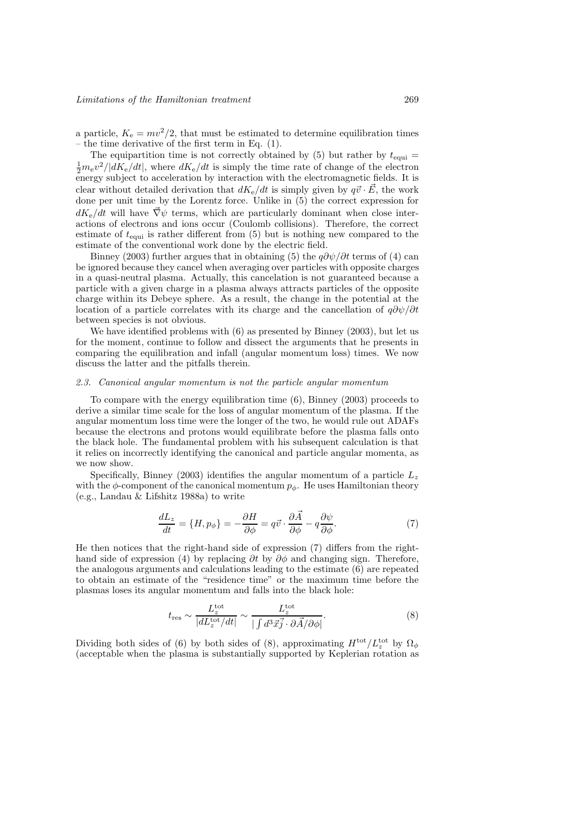a particle,  $K_e = mv^2/2$ , that must be estimated to determine equilibration times – the time derivative of the first term in Eq. (1).

The equipartition time is not correctly obtained by (5) but rather by  $t_{\text{equi}} =$  $\frac{1}{2}m_{\rm e}v^2/|dK_{\rm e}/dt|$ , where  $dK_{\rm e}/dt$  is simply the time rate of change of the electron energy subject to acceleration by interaction with the electromagnetic fields. It is clear without detailed derivation that  $dK_e/dt$  is simply given by  $q\vec{v} \cdot \vec{E}$ , the work done per unit time by the Lorentz force. Unlike in (5) the correct expression for  $dK_e/dt$  will have  $\vec{\nabla}\psi$  terms, which are particularly dominant when close interactions of electrons and ions occur (Coulomb collisions). Therefore, the correct estimate of  $t_{\text{equi}}$  is rather different from (5) but is nothing new compared to the estimate of the conventional work done by the electric field.

Binney (2003) further argues that in obtaining (5) the  $q\partial\psi/\partial t$  terms of (4) can be ignored because they cancel when averaging over particles with opposite charges in a quasi-neutral plasma. Actually, this cancelation is not guaranteed because a particle with a given charge in a plasma always attracts particles of the opposite charge within its Debeye sphere. As a result, the change in the potential at the location of a particle correlates with its charge and the cancellation of  $q\partial\psi/\partial t$ between species is not obvious.

We have identified problems with (6) as presented by Binney (2003), but let us for the moment, continue to follow and dissect the arguments that he presents in comparing the equilibration and infall (angular momentum loss) times. We now discuss the latter and the pitfalls therein.

## *2.3. Canonical angular momentum is not the particle angular momentum*

To compare with the energy equilibration time (6), Binney (2003) proceeds to derive a similar time scale for the loss of angular momentum of the plasma. If the angular momentum loss time were the longer of the two, he would rule out ADAFs because the electrons and protons would equilibrate before the plasma falls onto the black hole. The fundamental problem with his subsequent calculation is that it relies on incorrectly identifying the canonical and particle angular momenta, as we now show.

Specifically, Binney (2003) identifies the angular momentum of a particle  $L_z$ with the  $\phi$ -component of the canonical momentum  $p_{\phi}$ . He uses Hamiltonian theory (e.g., Landau & Lifshitz 1988a) to write

$$
\frac{dL_z}{dt} = \{H, p_{\phi}\} = -\frac{\partial H}{\partial \phi} = q\vec{v} \cdot \frac{\partial \vec{A}}{\partial \phi} - q\frac{\partial \psi}{\partial \phi}.\tag{7}
$$

He then notices that the right-hand side of expression (7) differs from the righthand side of expression (4) by replacing ∂t by  $\partial \phi$  and changing sign. Therefore, the analogous arguments and calculations leading to the estimate (6) are repeated to obtain an estimate of the "residence time" or the maximum time before the plasmas loses its angular momentum and falls into the black hole:

$$
t_{\rm res} \sim \frac{L_z^{\rm tot}}{|dL_z^{\rm tot}/dt|} \sim \frac{L_z^{\rm tot}}{| \int d^3 \vec{x} \vec{j} \cdot \partial \vec{A} / \partial \phi |}.
$$
 (8)

Dividing both sides of (6) by both sides of (8), approximating  $H^{\text{tot}}/L_z^{\text{tot}}$  by  $\Omega_{\phi}$ (acceptable when the plasma is substantially supported by Keplerian rotation as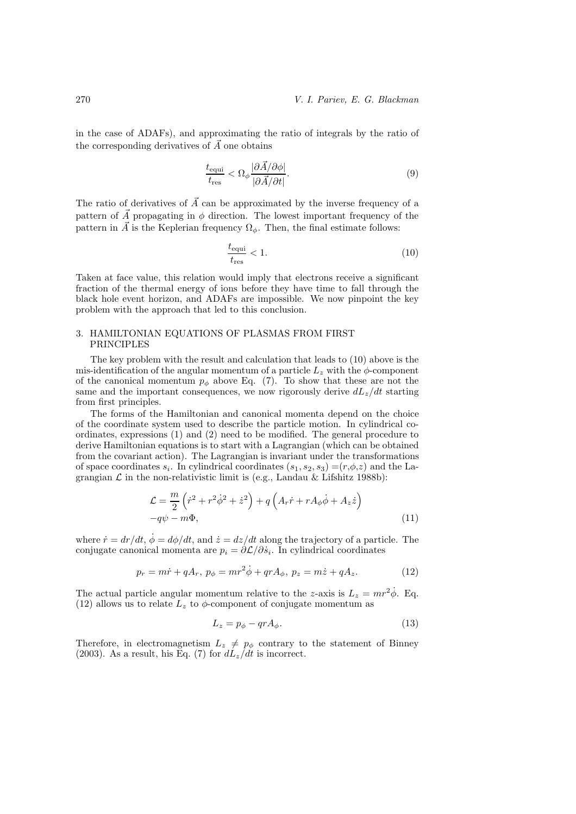in the case of ADAFs), and approximating the ratio of integrals by the ratio of the corresponding derivatives of  $\vec{A}$  one obtains

$$
\frac{t_{\text{equi}}}{t_{\text{res}}} < \Omega_{\phi} \frac{|\partial \vec{A}/\partial \phi|}{|\partial \vec{A}/\partial t|}.\tag{9}
$$

The ratio of derivatives of  $\vec{A}$  can be approximated by the inverse frequency of a pattern of  $\vec{A}$  propagating in  $\phi$  direction. The lowest important frequency of the pattern in  $\vec{A}$  is the Keplerian frequency  $\Omega_{\phi}$ . Then, the final estimate follows:

$$
\frac{t_{\text{equi}}}{t_{\text{res}}} < 1. \tag{10}
$$

Taken at face value, this relation would imply that electrons receive a significant fraction of the thermal energy of ions before they have time to fall through the black hole event horizon, and ADAFs are impossible. We now pinpoint the key problem with the approach that led to this conclusion.

# 3. HAMILTONIAN EQUATIONS OF PLASMAS FROM FIRST PRINCIPLES

The key problem with the result and calculation that leads to (10) above is the mis-identification of the angular momentum of a particle  $L_z$  with the  $\phi$ -component of the canonical momentum  $p_{\phi}$  above Eq. (7). To show that these are not the same and the important consequences, we now rigorously derive  $dL_z/dt$  starting from first principles.

The forms of the Hamiltonian and canonical momenta depend on the choice of the coordinate system used to describe the particle motion. In cylindrical coordinates, expressions (1) and (2) need to be modified. The general procedure to derive Hamiltonian equations is to start with a Lagrangian (which can be obtained from the covariant action). The Lagrangian is invariant under the transformations of space coordinates  $s_i$ . In cylindrical coordinates  $(s_1, s_2, s_3) = (r, \phi, z)$  and the Lagrangian  $\mathcal L$  in the non-relativistic limit is (e.g., Landau & Lifshitz 1988b):

$$
\mathcal{L} = \frac{m}{2} \left( \dot{r}^2 + r^2 \dot{\phi}^2 + \dot{z}^2 \right) + q \left( A_r \dot{r} + r A_\phi \dot{\phi} + A_z \dot{z} \right) - q \psi - m \Phi,
$$
\n(11)

where  $\dot{r} = dr/dt$ ,  $\dot{\phi} = d\phi/dt$ , and  $\dot{z} = dz/dt$  along the trajectory of a particle. The conjugate canonical momenta are  $p_i = \partial \mathcal{L}/\partial \dot{s}_i$ . In cylindrical coordinates

$$
p_r = m\dot{r} + qA_r, \ p_\phi = mr^2\dot{\phi} + qrA_\phi, \ p_z = m\dot{z} + qA_z. \tag{12}
$$

The actual particle angular momentum relative to the z-axis is  $L_z = mr^2\dot{\phi}$ . Eq. (12) allows us to relate  $L_z$  to  $\phi$ -component of conjugate momentum as

$$
L_z = p_\phi - qrA_\phi. \tag{13}
$$

Therefore, in electromagnetism  $L_z \neq p_\phi$  contrary to the statement of Binney (2003). As a result, his Eq. (7) for  $dL_z/dt$  is incorrect.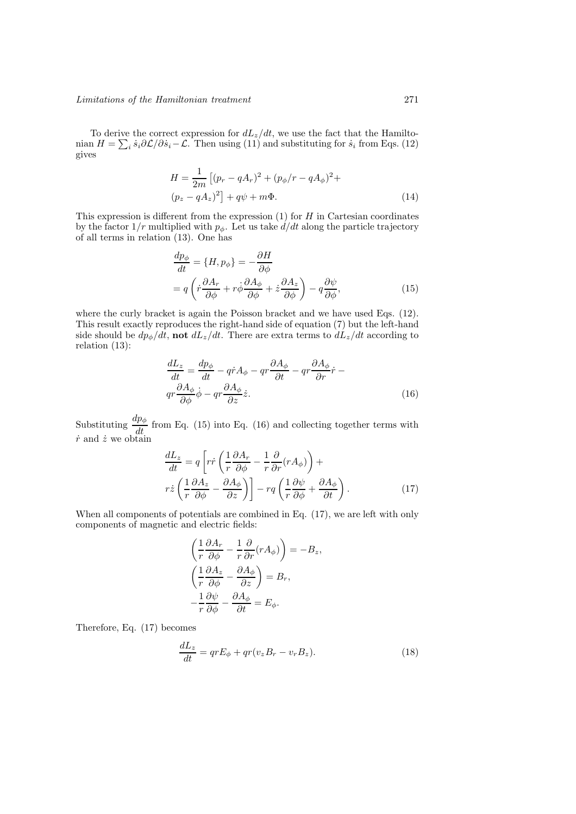To derive the correct expression for  $dL_z/dt$ , we use the fact that the Hamiltonian  $H = \sum_i \dot{s}_i \partial \mathcal{L} / \partial \dot{s}_i - \mathcal{L}$ . Then using  $(11)$  and substituting for  $\dot{s}_i$  from Eqs. (12) gives

$$
H = \frac{1}{2m} \left[ (p_r - qA_r)^2 + (p_\phi/r - qA_\phi)^2 + (p_z - qA_z)^2 \right] + q\psi + m\Phi.
$$
\n(14)

This expression is different from the expression  $(1)$  for  $H$  in Cartesian coordinates by the factor  $1/r$  multiplied with  $p_{\phi}$ . Let us take  $d/dt$  along the particle trajectory of all terms in relation (13). One has

$$
\frac{dp_{\phi}}{dt} = \{H, p_{\phi}\} = -\frac{\partial H}{\partial \phi} \n= q \left( \dot{r} \frac{\partial A_r}{\partial \phi} + r \dot{\phi} \frac{\partial A_{\phi}}{\partial \phi} + \dot{z} \frac{\partial A_z}{\partial \phi} \right) - q \frac{\partial \psi}{\partial \phi},
$$
\n(15)

where the curly bracket is again the Poisson bracket and we have used Eqs. (12). This result exactly reproduces the right-hand side of equation (7) but the left-hand side should be  $dp_{\phi}/dt$ , **not**  $dL_z/dt$ . There are extra terms to  $dL_z/dt$  according to relation (13):

$$
\frac{dL_z}{dt} = \frac{dp_{\phi}}{dt} - qr \frac{\partial A_{\phi}}{\partial t} - qr \frac{\partial A_{\phi}}{\partial r} \dot{r} - qr \frac{\partial A_{\phi}}{\partial \phi} \dot{\phi} - qr \frac{\partial A_{\phi}}{\partial z} \dot{z}.
$$
\n(16)

Substituting  $\frac{dp_{\phi}}{dt}$  from Eq. (15) into Eq. (16) and collecting together terms with  $\dot{r}$  and  $\dot{z}$  we obtain

$$
\frac{dL_z}{dt} = q \left[ r \dot{r} \left( \frac{1}{r} \frac{\partial A_r}{\partial \phi} - \frac{1}{r} \frac{\partial}{\partial r} (r A_{\phi}) \right) + r \dot{z} \left( \frac{1}{r} \frac{\partial A_z}{\partial \phi} - \frac{\partial A_{\phi}}{\partial z} \right) \right] - r q \left( \frac{1}{r} \frac{\partial \psi}{\partial \phi} + \frac{\partial A_{\phi}}{\partial t} \right). \tag{17}
$$

When all components of potentials are combined in Eq. (17), we are left with only components of magnetic and electric fields:

$$
\left(\frac{1}{r}\frac{\partial A_r}{\partial \phi} - \frac{1}{r}\frac{\partial}{\partial r}(rA_{\phi})\right) = -B_z,
$$
\n
$$
\left(\frac{1}{r}\frac{\partial A_z}{\partial \phi} - \frac{\partial A_{\phi}}{\partial z}\right) = B_r,
$$
\n
$$
-\frac{1}{r}\frac{\partial \psi}{\partial \phi} - \frac{\partial A_{\phi}}{\partial t} = E_{\phi}.
$$

Therefore, Eq. (17) becomes

$$
\frac{dL_z}{dt} = qrE_{\phi} + qr(v_zB_r - v_rB_z). \tag{18}
$$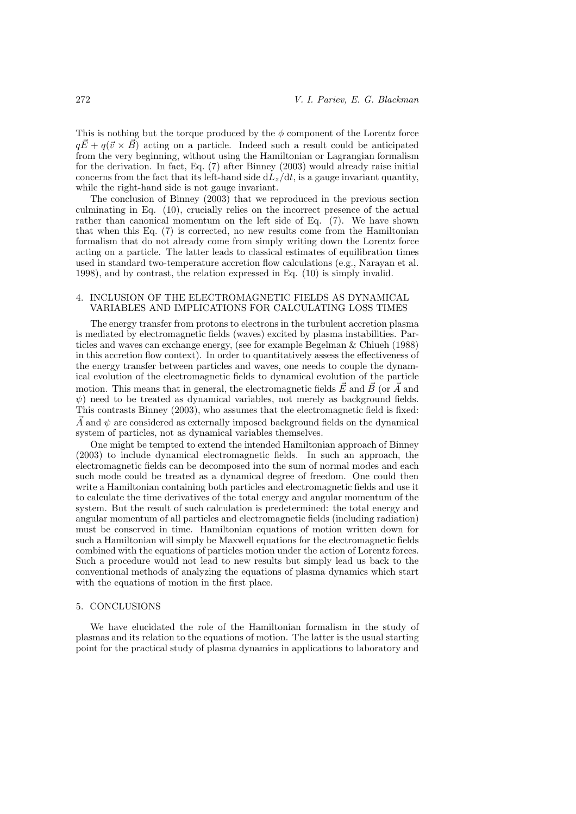This is nothing but the torque produced by the  $\phi$  component of the Lorentz force  $q\vec{E} + q(\vec{v} \times \vec{B})$  acting on a particle. Indeed such a result could be anticipated from the very beginning, without using the Hamiltonian or Lagrangian formalism for the derivation. In fact, Eq. (7) after Binney (2003) would already raise initial concerns from the fact that its left-hand side  $dL_z/dt$ , is a gauge invariant quantity, while the right-hand side is not gauge invariant.

The conclusion of Binney (2003) that we reproduced in the previous section culminating in Eq. (10), crucially relies on the incorrect presence of the actual rather than canonical momentum on the left side of Eq. (7). We have shown that when this Eq. (7) is corrected, no new results come from the Hamiltonian formalism that do not already come from simply writing down the Lorentz force acting on a particle. The latter leads to classical estimates of equilibration times used in standard two-temperature accretion flow calculations (e.g., Narayan et al. 1998), and by contrast, the relation expressed in Eq. (10) is simply invalid.

# 4. INCLUSION OF THE ELECTROMAGNETIC FIELDS AS DYNAMICAL VARIABLES AND IMPLICATIONS FOR CALCULATING LOSS TIMES

The energy transfer from protons to electrons in the turbulent accretion plasma is mediated by electromagnetic fields (waves) excited by plasma instabilities. Particles and waves can exchange energy, (see for example Begelman & Chiueh (1988) in this accretion flow context). In order to quantitatively assess the effectiveness of the energy transfer between particles and waves, one needs to couple the dynamical evolution of the electromagnetic fields to dynamical evolution of the particle motion. This means that in general, the electromagnetic fields  $\vec{E}$  and  $\vec{B}$  (or  $\vec{A}$  and  $\psi$ ) need to be treated as dynamical variables, not merely as background fields. This contrasts Binney (2003), who assumes that the electromagnetic field is fixed: A and  $\psi$  are considered as externally imposed background fields on the dynamical system of particles, not as dynamical variables themselves.

One might be tempted to extend the intended Hamiltonian approach of Binney (2003) to include dynamical electromagnetic fields. In such an approach, the electromagnetic fields can be decomposed into the sum of normal modes and each such mode could be treated as a dynamical degree of freedom. One could then write a Hamiltonian containing both particles and electromagnetic fields and use it to calculate the time derivatives of the total energy and angular momentum of the system. But the result of such calculation is predetermined: the total energy and angular momentum of all particles and electromagnetic fields (including radiation) must be conserved in time. Hamiltonian equations of motion written down for such a Hamiltonian will simply be Maxwell equations for the electromagnetic fields combined with the equations of particles motion under the action of Lorentz forces. Such a procedure would not lead to new results but simply lead us back to the conventional methods of analyzing the equations of plasma dynamics which start with the equations of motion in the first place.

### 5. CONCLUSIONS

We have elucidated the role of the Hamiltonian formalism in the study of plasmas and its relation to the equations of motion. The latter is the usual starting point for the practical study of plasma dynamics in applications to laboratory and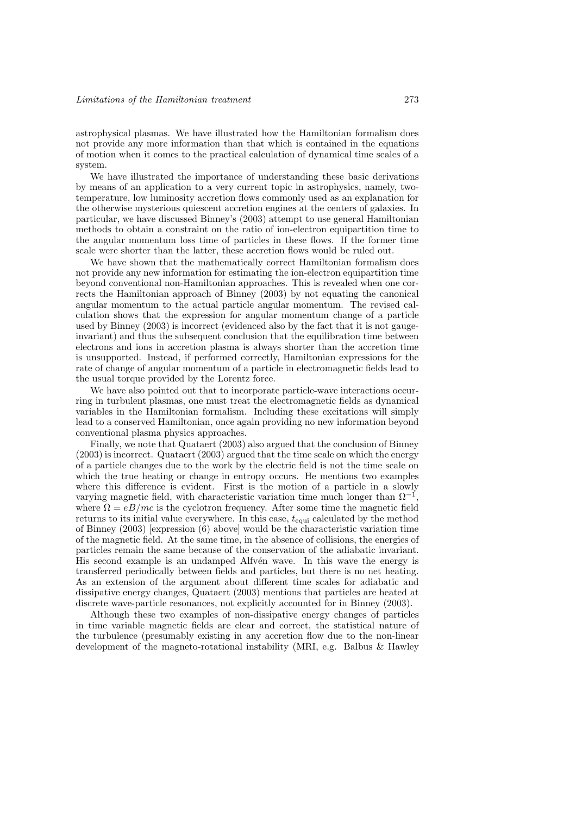astrophysical plasmas. We have illustrated how the Hamiltonian formalism does not provide any more information than that which is contained in the equations of motion when it comes to the practical calculation of dynamical time scales of a system.

We have illustrated the importance of understanding these basic derivations by means of an application to a very current topic in astrophysics, namely, twotemperature, low luminosity accretion flows commonly used as an explanation for the otherwise mysterious quiescent accretion engines at the centers of galaxies. In particular, we have discussed Binney's (2003) attempt to use general Hamiltonian methods to obtain a constraint on the ratio of ion-electron equipartition time to the angular momentum loss time of particles in these flows. If the former time scale were shorter than the latter, these accretion flows would be ruled out.

We have shown that the mathematically correct Hamiltonian formalism does not provide any new information for estimating the ion-electron equipartition time beyond conventional non-Hamiltonian approaches. This is revealed when one corrects the Hamiltonian approach of Binney (2003) by not equating the canonical angular momentum to the actual particle angular momentum. The revised calculation shows that the expression for angular momentum change of a particle used by Binney (2003) is incorrect (evidenced also by the fact that it is not gaugeinvariant) and thus the subsequent conclusion that the equilibration time between electrons and ions in accretion plasma is always shorter than the accretion time is unsupported. Instead, if performed correctly, Hamiltonian expressions for the rate of change of angular momentum of a particle in electromagnetic fields lead to the usual torque provided by the Lorentz force.

We have also pointed out that to incorporate particle-wave interactions occurring in turbulent plasmas, one must treat the electromagnetic fields as dynamical variables in the Hamiltonian formalism. Including these excitations will simply lead to a conserved Hamiltonian, once again providing no new information beyond conventional plasma physics approaches.

Finally, we note that Quataert (2003) also argued that the conclusion of Binney (2003) is incorrect. Quataert (2003) argued that the time scale on which the energy of a particle changes due to the work by the electric field is not the time scale on which the true heating or change in entropy occurs. He mentions two examples where this difference is evident. First is the motion of a particle in a slowly varying magnetic field, with characteristic variation time much longer than Ω*−*<sup>1</sup>, where  $\Omega = eB/mc$  is the cyclotron frequency. After some time the magnetic field returns to its initial value everywhere. In this case,  $t_{equi}$  calculated by the method of Binney (2003) [expression (6) above] would be the characteristic variation time of the magnetic field. At the same time, in the absence of collisions, the energies of particles remain the same because of the conservation of the adiabatic invariant. His second example is an undamped Alfvén wave. In this wave the energy is transferred periodically between fields and particles, but there is no net heating. As an extension of the argument about different time scales for adiabatic and dissipative energy changes, Quataert (2003) mentions that particles are heated at discrete wave-particle resonances, not explicitly accounted for in Binney (2003).

Although these two examples of non-dissipative energy changes of particles in time variable magnetic fields are clear and correct, the statistical nature of the turbulence (presumably existing in any accretion flow due to the non-linear development of the magneto-rotational instability (MRI, e.g. Balbus & Hawley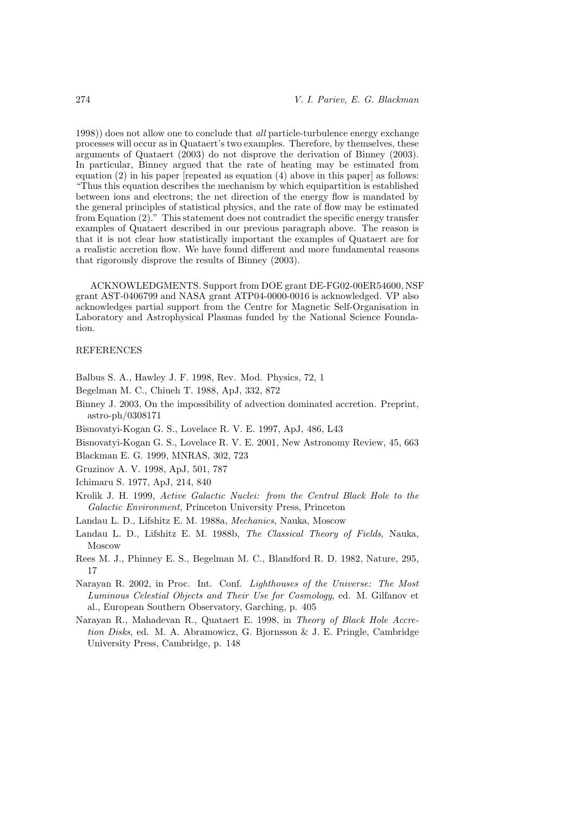1998)) does not allow one to conclude that *all* particle-turbulence energy exchange processes will occur as in Quataert's two examples. Therefore, by themselves, these arguments of Quataert (2003) do not disprove the derivation of Binney (2003). In particular, Binney argued that the rate of heating may be estimated from equation  $(2)$  in his paper [repeated as equation  $(4)$  above in this paper] as follows: "Thus this equation describes the mechanism by which equipartition is established between ions and electrons; the net direction of the energy flow is mandated by the general principles of statistical physics, and the rate of flow may be estimated from Equation (2)." This statement does not contradict the specific energy transfer examples of Quataert described in our previous paragraph above. The reason is that it is not clear how statistically important the examples of Quataert are for a realistic accretion flow. We have found different and more fundamental reasons that rigorously disprove the results of Binney (2003).

ACKNOWLEDGMENTS. Support from DOE grant DE-FG02-00ER54600, NSF grant AST-0406799 and NASA grant ATP04-0000-0016 is acknowledged. VP also acknowledges partial support from the Centre for Magnetic Self-Organisation in Laboratory and Astrophysical Plasmas funded by the National Science Foundation.

### REFERENCES

Balbus S. A., Hawley J. F. 1998, Rev. Mod. Physics, 72, 1

- Begelman M. C., Chiueh T. 1988, ApJ, 332, 872
- Binney J. 2003, On the impossibility of advection dominated accretion. Preprint, astro-ph/0308171
- Bisnovatyi-Kogan G. S., Lovelace R. V. E. 1997, ApJ, 486, L43

Bisnovatyi-Kogan G. S., Lovelace R. V. E. 2001, New Astronomy Review, 45, 663

Blackman E. G. 1999, MNRAS, 302, 723

Gruzinov A. V. 1998, ApJ, 501, 787

Ichimaru S. 1977, ApJ, 214, 840

- Krolik J. H. 1999, *Active Galactic Nuclei: from the Central Black Hole to the Galactic Environment*, Princeton University Press, Princeton
- Landau L. D., Lifshitz E. M. 1988a, *Mechanics*, Nauka, Moscow
- Landau L. D., Lifshitz E. M. 1988b, *The Classical Theory of Fields*, Nauka, Moscow
- Rees M. J., Phinney E. S., Begelman M. C., Blandford R. D. 1982, Nature, 295, 17
- Narayan R. 2002, in Proc. Int. Conf. *Lighthouses of the Universe: The Most Luminous Celestial Objects and Their Use for Cosmology*, ed. M. Gilfanov et al., European Southern Observatory, Garching, p. 405
- Narayan R., Mahadevan R., Quataert E. 1998, in *Theory of Black Hole Accretion Disks*, ed. M. A. Abramowicz, G. Bjornsson & J. E. Pringle, Cambridge University Press, Cambridge, p. 148